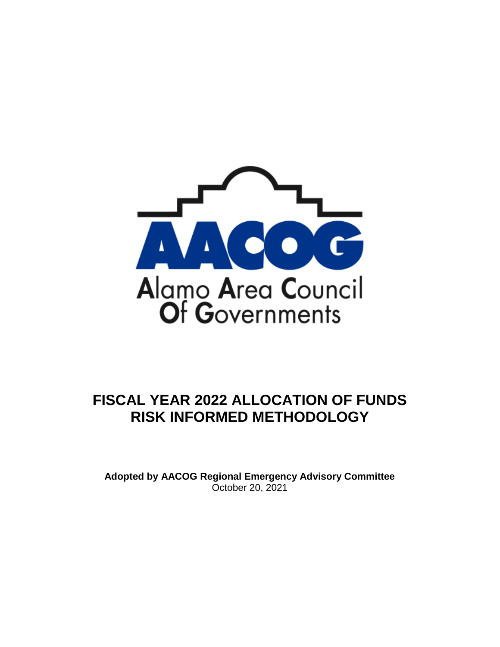

# **FISCAL YEAR 2022 ALLOCATION OF FUNDS RISK INFORMED METHODOLOGY**

**Adopted by AACOG Regional Emergency Advisory Committee** October 20, 2021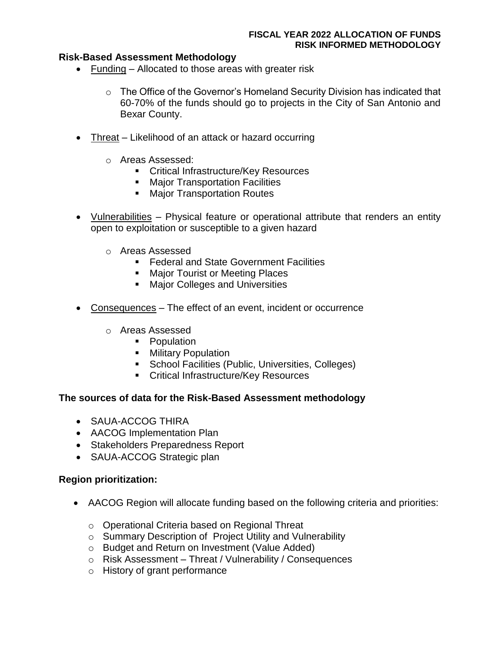# **Risk-Based Assessment Methodology**

- Funding Allocated to those areas with greater risk
	- o The Office of the Governor's Homeland Security Division has indicated that 60-70% of the funds should go to projects in the City of San Antonio and Bexar County.
- Threat Likelihood of an attack or hazard occurring
	- o Areas Assessed:
		- **Critical Infrastructure/Key Resources**
		- **Major Transportation Facilities**
		- **Major Transportation Routes**
- Vulnerabilities Physical feature or operational attribute that renders an entity open to exploitation or susceptible to a given hazard
	- o Areas Assessed
		- **Federal and State Government Facilities**
		- **Major Tourist or Meeting Places**
		- **Major Colleges and Universities**
- Consequences The effect of an event, incident or occurrence
	- o Areas Assessed
		- **•** Population
		- **Military Population**
		- **School Facilities (Public, Universities, Colleges)**
		- **EXECRITED EXECUTE:** Critical Infrastructure/Key Resources

# **The sources of data for the Risk-Based Assessment methodology**

- SAUA-ACCOG THIRA
- AACOG Implementation Plan
- Stakeholders Preparedness Report
- SAUA-ACCOG Strategic plan

# **Region prioritization:**

- AACOG Region will allocate funding based on the following criteria and priorities:
	- o Operational Criteria based on Regional Threat
	- o Summary Description of Project Utility and Vulnerability
	- o Budget and Return on Investment (Value Added)
	- o Risk Assessment Threat / Vulnerability / Consequences
	- o History of grant performance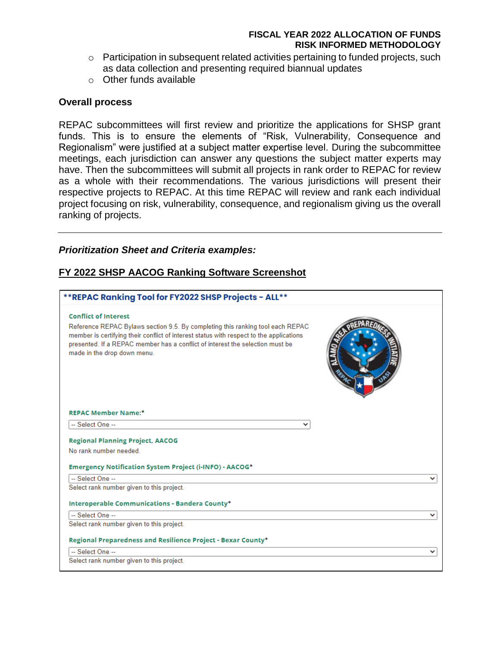- $\circ$  Participation in subsequent related activities pertaining to funded projects, such as data collection and presenting required biannual updates
- o Other funds available

#### **Overall process**

REPAC subcommittees will first review and prioritize the applications for SHSP grant funds. This is to ensure the elements of "Risk, Vulnerability, Consequence and Regionalism" were justified at a subject matter expertise level. During the subcommittee meetings, each jurisdiction can answer any questions the subject matter experts may have. Then the subcommittees will submit all projects in rank order to REPAC for review as a whole with their recommendations. The various jurisdictions will present their respective projects to REPAC. At this time REPAC will review and rank each individual project focusing on risk, vulnerability, consequence, and regionalism giving us the overall ranking of projects.

#### *Prioritization Sheet and Criteria examples:*

# **FY 2022 SHSP AACOG Ranking Software Screenshot**

| **REPAC Ranking Tool for FY2022 SHSP Projects - ALL**                                                                                                                                                                                                                                                                    |   |
|--------------------------------------------------------------------------------------------------------------------------------------------------------------------------------------------------------------------------------------------------------------------------------------------------------------------------|---|
| <b>Conflict of Interest</b><br>Reference REPAC Bylaws section 9.5. By completing this ranking tool each REPAC<br>member is certifying their conflict of interest status with respect to the applications<br>presented. If a REPAC member has a conflict of interest the selection must be<br>made in the drop down menu. |   |
| <b>REPAC Member Name:*</b>                                                                                                                                                                                                                                                                                               |   |
| -- Select One --<br>◡                                                                                                                                                                                                                                                                                                    |   |
| <b>Regional Planning Project, AACOG</b>                                                                                                                                                                                                                                                                                  |   |
| No rank number needed                                                                                                                                                                                                                                                                                                    |   |
| Emergency Notification System Project (i-INFO) - AACOG*                                                                                                                                                                                                                                                                  |   |
| -- Select One --                                                                                                                                                                                                                                                                                                         |   |
| Select rank number given to this project.                                                                                                                                                                                                                                                                                |   |
| Interoperable Communications - Bandera County*                                                                                                                                                                                                                                                                           |   |
| -- Select One --                                                                                                                                                                                                                                                                                                         | ◡ |
| Select rank number given to this project.                                                                                                                                                                                                                                                                                |   |
| Regional Preparedness and Resilience Project - Bexar County*                                                                                                                                                                                                                                                             |   |
| -- Select One --                                                                                                                                                                                                                                                                                                         | ◡ |
| Select rank number given to this project.                                                                                                                                                                                                                                                                                |   |